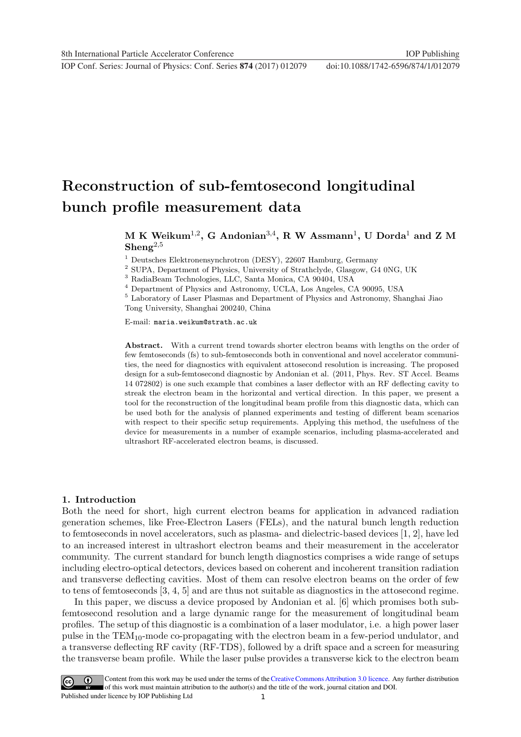**1234567890** IOP Conf. Series: Journal of Physics: Conf. Series **874** (2017) 012079 doi :10.1088/1742-6596/874/1/012079

# Reconstruction of sub-femtosecond longitudinal bunch profile measurement data

## $M$  K Weikum $^{1,2}$ , G Andonian $^{3,4}$ , R W Assmann $^{1}$ , U Dorda $^{1}$  and Z M  $\mathbf{Shen} \mathbf{g}^{2,5}$

<sup>1</sup> Deutsches Elektronensynchrotron (DESY), 22607 Hamburg, Germany

<sup>2</sup> SUPA, Department of Physics, University of Strathclyde, Glasgow, G4 0NG, UK

<sup>3</sup> RadiaBeam Technologies, LLC, Santa Monica, CA 90404, USA

<sup>4</sup> Department of Physics and Astronomy, UCLA, Los Angeles, CA 90095, USA

<sup>5</sup> Laboratory of Laser Plasmas and Department of Physics and Astronomy, Shanghai Jiao Tong University, Shanghai 200240, China

E-mail: maria.weikum@strath.ac.uk

Abstract. With a current trend towards shorter electron beams with lengths on the order of few femtoseconds (fs) to sub-femtoseconds both in conventional and novel accelerator communities, the need for diagnostics with equivalent attosecond resolution is increasing. The proposed design for a sub-femtosecond diagnostic by Andonian et al. (2011, Phys. Rev. ST Accel. Beams 14 072802) is one such example that combines a laser deflector with an RF deflecting cavity to streak the electron beam in the horizontal and vertical direction. In this paper, we present a tool for the reconstruction of the longitudinal beam profile from this diagnostic data, which can be used both for the analysis of planned experiments and testing of different beam scenarios with respect to their specific setup requirements. Applying this method, the usefulness of the device for measurements in a number of example scenarios, including plasma-accelerated and ultrashort RF-accelerated electron beams, is discussed.

## 1. Introduction

Both the need for short, high current electron beams for application in advanced radiation generation schemes, like Free-Electron Lasers (FELs), and the natural bunch length reduction to femtoseconds in novel accelerators, such as plasma- and dielectric-based devices [1, 2], have led to an increased interest in ultrashort electron beams and their measurement in the accelerator community. The current standard for bunch length diagnostics comprises a wide range of setups including electro-optical detectors, devices based on coherent and incoherent transition radiation and transverse deflecting cavities. Most of them can resolve electron beams on the order of few to tens of femtoseconds [3, 4, 5] and are thus not suitable as diagnostics in the attosecond regime.

In this paper, we discuss a device proposed by Andonian et al. [6] which promises both subfemtosecond resolution and a large dynamic range for the measurement of longitudinal beam profiles. The setup of this diagnostic is a combination of a laser modulator, i.e. a high power laser pulse in the TEM10-mode co-propagating with the electron beam in a few-period undulator, and a transverse deflecting RF cavity (RF-TDS), followed by a drift space and a screen for measuring the transverse beam profile. While the laser pulse provides a transverse kick to the electron beam

1 Content from this work may be used under the terms of the[Creative Commons Attribution 3.0 licence.](http://creativecommons.org/licenses/by/3.0) Any further distribution of this work must maintain attribution to the author(s) and the title of the work, journal citation and DOI. Published under licence by IOP Publishing Ltd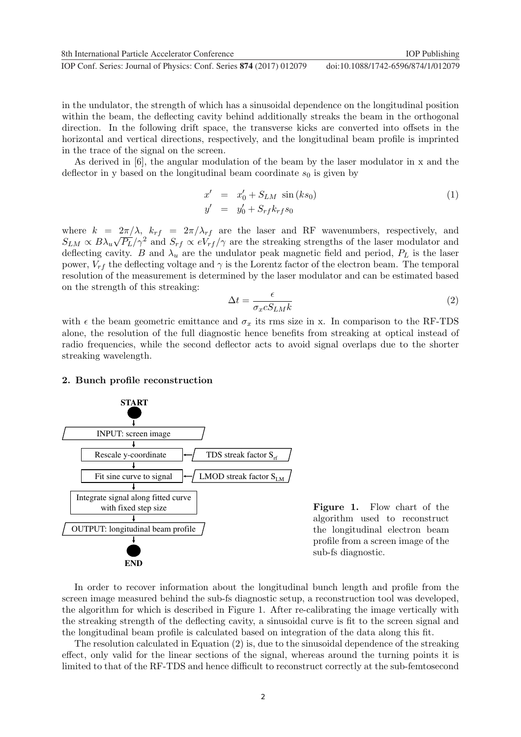**1234567890** IOP Conf. Series: Journal of Physics: Conf. Series **874** (2017) 012079 doi :10.1088/1742-6596/874/1/012079 8th International Particle Accelerator Conference **IOP** Publishing

in the undulator, the strength of which has a sinusoidal dependence on the longitudinal position within the beam, the deflecting cavity behind additionally streaks the beam in the orthogonal direction. In the following drift space, the transverse kicks are converted into offsets in the horizontal and vertical directions, respectively, and the longitudinal beam profile is imprinted in the trace of the signal on the screen.

As derived in [6], the angular modulation of the beam by the laser modulator in x and the deflector in y based on the longitudinal beam coordinate  $s_0$  is given by

$$
x' = x'_0 + S_{LM} \sin (ks_0)
$$
  
\n
$$
y' = y'_0 + S_{rf}k_{rf}s_0
$$
\n(1)

where  $k = 2\pi/\lambda$ ,  $k_{rf} = 2\pi/\lambda_{rf}$  are the laser and RF wavenumbers, respectively, and  $S_{LM} \propto B\lambda_u \sqrt{P_L}/\gamma^2$  and  $S_{rf} \propto eV_{rf}/\gamma$  are the streaking strengths of the laser modulator and deflecting cavity. B and  $\lambda_u$  are the undulator peak magnetic field and period,  $P_L$  is the laser power,  $V_{rf}$  the deflecting voltage and  $\gamma$  is the Lorentz factor of the electron beam. The temporal resolution of the measurement is determined by the laser modulator and can be estimated based on the strength of this streaking:

$$
\Delta t = \frac{\epsilon}{\sigma_x c S_{LM} k} \tag{2}
$$

with  $\epsilon$  the beam geometric emittance and  $\sigma_x$  its rms size in x. In comparison to the RF-TDS alone, the resolution of the full diagnostic hence benefits from streaking at optical instead of radio frequencies, while the second deflector acts to avoid signal overlaps due to the shorter streaking wavelength.

## 2. Bunch profile reconstruction



Figure 1. Flow chart of the algorithm used to reconstruct the longitudinal electron beam profile from a screen image of the sub-fs diagnostic.

In order to recover information about the longitudinal bunch length and profile from the screen image measured behind the sub-fs diagnostic setup, a reconstruction tool was developed, the algorithm for which is described in Figure 1. After re-calibrating the image vertically with the streaking strength of the deflecting cavity, a sinusoidal curve is fit to the screen signal and the longitudinal beam profile is calculated based on integration of the data along this fit.

The resolution calculated in Equation (2) is, due to the sinusoidal dependence of the streaking effect, only valid for the linear sections of the signal, whereas around the turning points it is limited to that of the RF-TDS and hence difficult to reconstruct correctly at the sub-femtosecond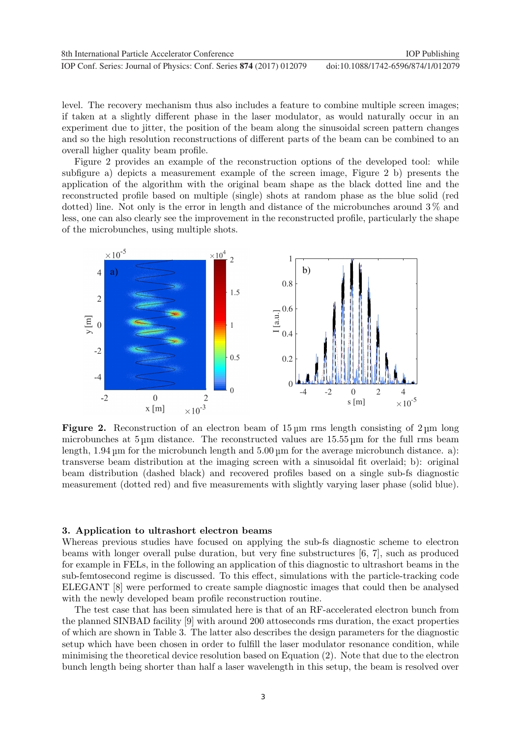level. The recovery mechanism thus also includes a feature to combine multiple screen images; if taken at a slightly different phase in the laser modulator, as would naturally occur in an experiment due to jitter, the position of the beam along the sinusoidal screen pattern changes and so the high resolution reconstructions of different parts of the beam can be combined to an overall higher quality beam profile.

Figure 2 provides an example of the reconstruction options of the developed tool: while subfigure a) depicts a measurement example of the screen image, Figure 2 b) presents the application of the algorithm with the original beam shape as the black dotted line and the reconstructed profile based on multiple (single) shots at random phase as the blue solid (red dotted) line. Not only is the error in length and distance of the microbunches around 3 % and less, one can also clearly see the improvement in the reconstructed profile, particularly the shape of the microbunches, using multiple shots.



Figure 2. Reconstruction of an electron beam of  $15 \mu m$  rms length consisting of  $2 \mu m$  long microbunches at 5 m distance. The reconstructed values are 15.55 m for the full rms beam length,  $1.94 \mu m$  for the microbunch length and  $5.00 \mu m$  for the average microbunch distance. a): transverse beam distribution at the imaging screen with a sinusoidal fit overlaid; b): original beam distribution (dashed black) and recovered profiles based on a single sub-fs diagnostic measurement (dotted red) and five measurements with slightly varying laser phase (solid blue).

## 3. Application to ultrashort electron beams

Whereas previous studies have focused on applying the sub-fs diagnostic scheme to electron beams with longer overall pulse duration, but very fine substructures [6, 7], such as produced for example in FELs, in the following an application of this diagnostic to ultrashort beams in the sub-femtosecond regime is discussed. To this effect, simulations with the particle-tracking code ELEGANT [8] were performed to create sample diagnostic images that could then be analysed with the newly developed beam profile reconstruction routine.

The test case that has been simulated here is that of an RF-accelerated electron bunch from the planned SINBAD facility [9] with around 200 attoseconds rms duration, the exact properties of which are shown in Table 3. The latter also describes the design parameters for the diagnostic setup which have been chosen in order to fulfill the laser modulator resonance condition, while minimising the theoretical device resolution based on Equation (2). Note that due to the electron bunch length being shorter than half a laser wavelength in this setup, the beam is resolved over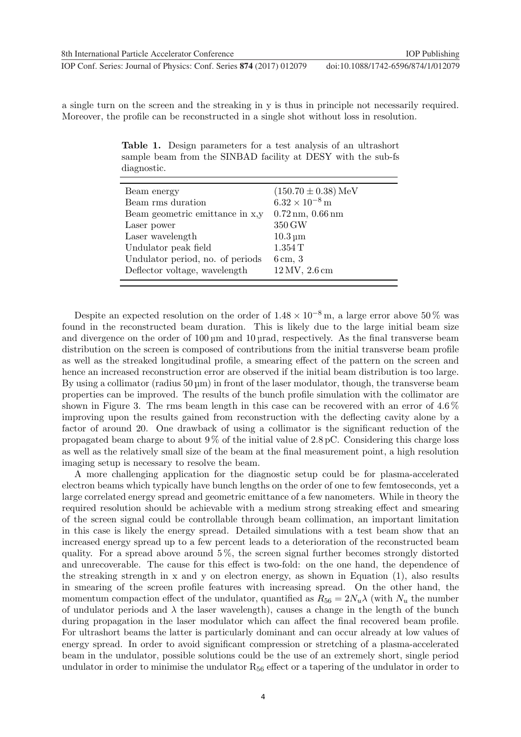a single turn on the screen and the streaking in y is thus in principle not necessarily required. Moreover, the profile can be reconstructed in a single shot without loss in resolution.

Table 1. Design parameters for a test analysis of an ultrashort sample beam from the SINBAD facility at DESY with the sub-fs diagnostic.

| Beam energy                      | $(150.70 \pm 0.38)$ MeV                     |
|----------------------------------|---------------------------------------------|
| Beam rms duration                | $6.32 \times 10^{-8}$ m                     |
| Beam geometric emittance in x,y  | $0.72 \,\mathrm{nm}$ , $0.66 \,\mathrm{nm}$ |
| Laser power                      | 350 GW                                      |
| Laser wavelength                 | $10.3 \,\mathrm{\upmu m}$                   |
| Undulator peak field             | 1.354T                                      |
| Undulator period, no. of periods | $6 \,\mathrm{cm}$ , 3                       |
| Deflector voltage, wavelength    | $12\,\mathrm{MV},\,2.6\,\mathrm{cm}$        |
|                                  |                                             |

Despite an expected resolution on the order of  $1.48 \times 10^{-8}$  m, a large error above 50% was found in the reconstructed beam duration. This is likely due to the large initial beam size and divergence on the order of  $100 \mu m$  and  $10 \mu rad$ , respectively. As the final transverse beam distribution on the screen is composed of contributions from the initial transverse beam profile as well as the streaked longitudinal profile, a smearing effect of the pattern on the screen and hence an increased reconstruction error are observed if the initial beam distribution is too large. By using a collimator (radius  $50 \,\mu$ m) in front of the laser modulator, though, the transverse beam properties can be improved. The results of the bunch profile simulation with the collimator are shown in Figure 3. The rms beam length in this case can be recovered with an error of 4.6 % improving upon the results gained from reconstruction with the deflecting cavity alone by a factor of around 20. One drawback of using a collimator is the significant reduction of the propagated beam charge to about  $9\%$  of the initial value of  $2.8\,\mathrm{pC}$ . Considering this charge loss as well as the relatively small size of the beam at the final measurement point, a high resolution imaging setup is necessary to resolve the beam.

A more challenging application for the diagnostic setup could be for plasma-accelerated electron beams which typically have bunch lengths on the order of one to few femtoseconds, yet a large correlated energy spread and geometric emittance of a few nanometers. While in theory the required resolution should be achievable with a medium strong streaking effect and smearing of the screen signal could be controllable through beam collimation, an important limitation in this case is likely the energy spread. Detailed simulations with a test beam show that an increased energy spread up to a few percent leads to a deterioration of the reconstructed beam quality. For a spread above around 5 %, the screen signal further becomes strongly distorted and unrecoverable. The cause for this effect is two-fold: on the one hand, the dependence of the streaking strength in x and y on electron energy, as shown in Equation (1), also results in smearing of the screen profile features with increasing spread. On the other hand, the momentum compaction effect of the undulator, quantified as  $R_{56} = 2N_u\lambda$  (with  $N_u$  the number of undulator periods and  $\lambda$  the laser wavelength), causes a change in the length of the bunch during propagation in the laser modulator which can affect the final recovered beam profile. For ultrashort beams the latter is particularly dominant and can occur already at low values of energy spread. In order to avoid significant compression or stretching of a plasma-accelerated beam in the undulator, possible solutions could be the use of an extremely short, single period undulator in order to minimise the undulator  $R_{56}$  effect or a tapering of the undulator in order to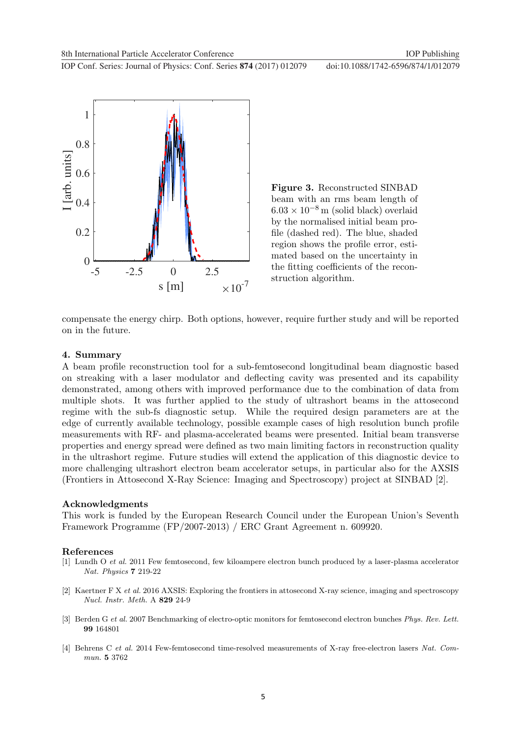**1234567890** IOP Conf. Series: Journal of Physics: Conf. Series **874** (2017) 012079 doi :10.1088/1742-6596/874/1/012079



Figure 3. Reconstructed SINBAD beam with an rms beam length of  $6.03 \times 10^{-8}$  m (solid black) overlaid by the normalised initial beam profile (dashed red). The blue, shaded region shows the profile error, estimated based on the uncertainty in the fitting coefficients of the reconstruction algorithm.

compensate the energy chirp. Both options, however, require further study and will be reported on in the future.

## 4. Summary

A beam profile reconstruction tool for a sub-femtosecond longitudinal beam diagnostic based on streaking with a laser modulator and deflecting cavity was presented and its capability demonstrated, among others with improved performance due to the combination of data from multiple shots. It was further applied to the study of ultrashort beams in the attosecond regime with the sub-fs diagnostic setup. While the required design parameters are at the edge of currently available technology, possible example cases of high resolution bunch profile measurements with RF- and plasma-accelerated beams were presented. Initial beam transverse properties and energy spread were defined as two main limiting factors in reconstruction quality in the ultrashort regime. Future studies will extend the application of this diagnostic device to more challenging ultrashort electron beam accelerator setups, in particular also for the AXSIS (Frontiers in Attosecond X-Ray Science: Imaging and Spectroscopy) project at SINBAD [2].

## Acknowledgments

This work is funded by the European Research Council under the European Union's Seventh Framework Programme (FP/2007-2013) / ERC Grant Agreement n. 609920.

#### References

- [1] Lundh O et al. 2011 Few femtosecond, few kiloampere electron bunch produced by a laser-plasma accelerator Nat. Physics 7 219-22
- [2] Kaertner F X et al. 2016 AXSIS: Exploring the frontiers in attosecond X-ray science, imaging and spectroscopy Nucl. Instr. Meth. A 829 24-9
- [3] Berden G et al. 2007 Benchmarking of electro-optic monitors for femtosecond electron bunches Phys. Rev. Lett. 99 164801
- [4] Behrens C et al. 2014 Few-femtosecond time-resolved measurements of X-ray free-electron lasers Nat. Commun. 5 3762